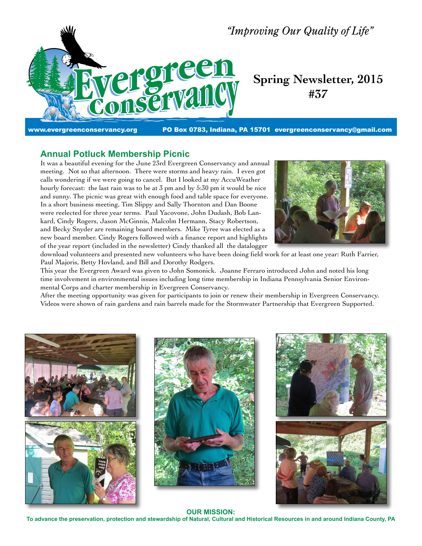

# **Spring Newsletter, 2015 #37**

www.evergreenconservancy.org **PO Box 0783, Indiana, PA 15701 evergreenconservancy@gmail.com** 

## **Annual Potluck Membership Picnic**

It was a beautiful evening for the June 23rd Evergreen Conservancy and annual meeting. Not so that afternoon. There were storms and heavy rain. I even got calls wondering if we were going to cancel. But I looked at my AccuWeather hourly forecast: the last rain was to be at 3 pm and by 5:30 pm it would be nice and sunny. The picnic was great with enough food and table space for everyone. In a short business meeting, Tim Slippy and Sally Thornton and Dan Boone were reelected for three year terms. Paul Yacovone, John Dudash, Bob Lankard, Cindy Rogers, Jason McGinnis, Malcolm Hermann, Stacy Robertson, and Becky Snyder are remaining board members. Mike Tyree was elected as a new board member. Cindy Rogers followed with a finance report and highlights of the year report (included in the newsletter) Cindy thanked all the datalogger



download volunteers and presented new volunteers who have been doing field work for at least one year: Ruth Farrier, Paul Majoris, Betty Hovland, and Bill and Dorothy Rodgers.

This year the Evergreen Award was given to John Somonick. Joanne Ferraro introduced John and noted his long time involvement in environmental issues including long time membership in Indiana Pennsylvania Senior Environmental Corps and charter membership in Evergreen Conservancy.

After the meeting opportunity was given for participants to join or renew their membership in Evergreen Conservancy. Videos were shown of rain gardens and rain barrels made for the Stormwater Partnership that Evergreen Supported.







#### **OUR MISSION:**

**To advance the preservation, protection and stewardship of Natural, Cultural and Historical Resources in and around Indiana County, PA**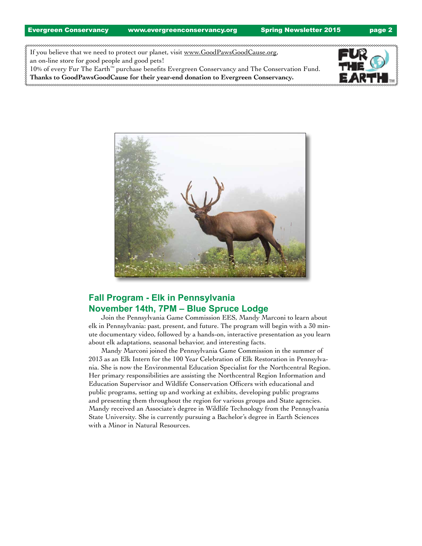If you believe that we need to protect our planet, visit www.GoodPawsGoodCause.org, an on-line store for good people and good pets!

10% of every Fur The Earth™ purchase benefits Evergreen Conservancy and The Conservation Fund. **Thanks to GoodPawsGoodCause for their year-end donation to Evergreen Conservancy.**





# **Fall Program - Elk in Pennsylvania November 14th, 7PM – Blue Spruce Lodge**

Join the Pennsylvania Game Commission EES, Mandy Marconi to learn about elk in Pennsylvania: past, present, and future. The program will begin with a 30 minute documentary video, followed by a hands-on, interactive presentation as you learn about elk adaptations, seasonal behavior, and interesting facts.

Mandy Marconi joined the Pennsylvania Game Commission in the summer of 2013 as an Elk Intern for the 100 Year Celebration of Elk Restoration in Pennsylvania. She is now the Environmental Education Specialist for the Northcentral Region. Her primary responsibilities are assisting the Northcentral Region Information and Education Supervisor and Wildlife Conservation Officers with educational and public programs, setting up and working at exhibits, developing public programs and presenting them throughout the region for various groups and State agencies. Mandy received an Associate's degree in Wildlife Technology from the Pennsylvania State University. She is currently pursuing a Bachelor's degree in Earth Sciences with a Minor in Natural Resources.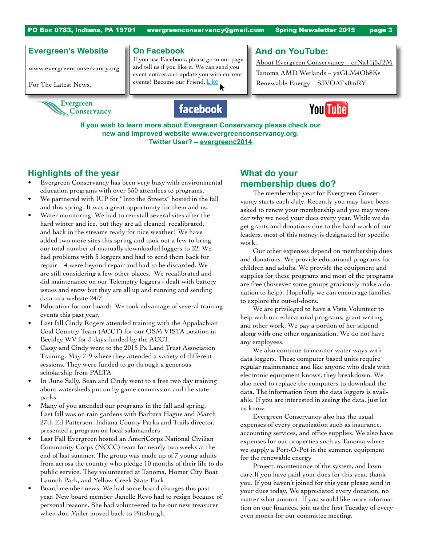PO Box 0783, Indiana, PA 15701 evergreenconservancy@gmail.com Spring Newsletter 2015 page 3

### **Evergreen's Website**

www.evergreenconservancy.org

For The Latest News.



#### **On Facebook**

If you use Facebook, please go to our page and tell us if you like it. We can send you event notices and update you with current events! Become our Friend. Like

**And on YouTube:**

About Evergreen Conservancy – crNa11j5J2M Tanoma AMD Wetlands – yaGLM4Ob8Ks Renewable Energy – S3VOATx0mRY





**If you wish to learn more about Evergreen Conservancy please check our new and improved website www.evergreenconservancy.org. Twitter User? – evergreenc2014**

# **Highlights of the year**

- Evergreen Conservancy has been very busy with environmental education programs with over 550 attendees to programs.
- We partnered with IUP for "Into the Streets" hosted in the fall and this spring. It was a great opportunity for them and us.
- Water monitoring: We had to reinstall several sites after the hard winter and ice, but they are all cleaned, recalibrated, and back in the streams ready for nice weather! We have added two more sites this spring and took out a few to bring our total number of manually downloaded loggers to 32. We had problems with 5 loggers and had to send them back for repair – 4 were beyond repair and had to be discarded. We are still considering a few other places. We recalibrated and did maintenance on our Telemetry loggers - dealt with battery issues and snow but they are all up and running and sending data to a website 24/7.
- Education for our board: We took advantage of several training events this past year.
- Last fall Cindy Rogers attended training with the Appalachian Coal Country Team (ACCT) for our OSM VISTA position in Beckley WV for 3 days funded by the ACCT.
- Cassy and Cindy went to the 2015 Pa Land Trust Association Training, May 7-9 where they attended a variety of different sessions. They were funded to go through a generous scholarship from PALTA.
- In June Sally, Sean and Cindy went to a free two day training about watersheds put on by game commission and the state parks.
- Many of you attended our programs in the fall and spring. Last fall was on rain gardens with Barbara Hague and March 27th Ed Patterson, Indiana County Parks and Trails director, presented a program on local salamanders
- Last Fall Evergreen hosted an AmeriCorps National Civilian Community Corps (NCCC) team for nearly two weeks at the end of last summer. The group was made up of 7 young adults from across the country who pledge 10 months of their life to do public service. They volunteered at Tanoma, Homer City Boat Launch Park, and Yellow Creek State Park
- Board member news: We had some board changes this past year. New board member Janelle Revo had to resign because of personal reasons. She had volunteered to be our new treasurer when Jon Miller moved back to Pittsburgh.

# **What do your membership dues do?**

The membership year for Evergreen Conservancy starts each July. Recently you may have been asked to renew your membership and you may wonder why we need your dues every year. While we do get grants and donations due to the hard work of our leaders, most of this money is designated for specific work.

Our other expenses depend on membership dues and donations. We provide educational programs for children and adults. We provide the equipment and supplies for these programs and most of the programs are free (however some groups graciously make a donation to help). Hopefully we can encourage families to explore the out-of-doors.

We are privileged to have a Vista Volunteer to help with our educational programs, grant writing and other work. We pay a portion of her stipend along with one other organization. We do not have any employees.

We also continue to monitor water ways with data loggers. These computer based units require regular maintenance and like anyone who deals with electronic equipment knows, they breakdown. We also need to replace the computers to download the data. The information from the data loggers is available. If you are interested in seeing the data, just let us know.

Evergreen Conservancy also has the usual expenses of every organization such as insurance, accounting services, and office supplies. We also have expenses for our properties such as Tanoma where we supply a Port-O-Pot in the summer, equipment for the renewable energy

Project, maintenance of the system, and lawn care.If you have paid your dues for this year, thank you. If you haven't joined for this year please send in your dues today. We appreciated every donation, no matter what amount. If you would like more information on our finances, join us the first Tuesday of every even month for our committee meeting.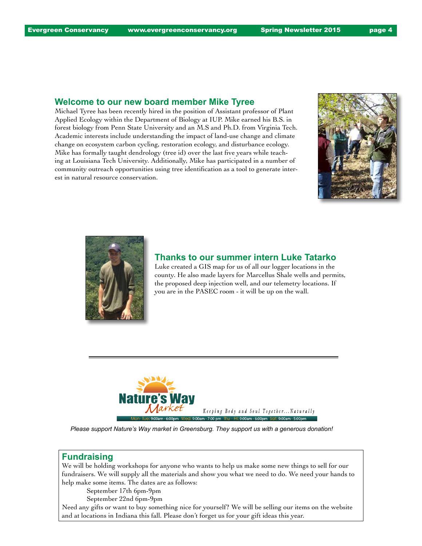#### **Welcome to our new board member Mike Tyree**

Michael Tyree has been recently hired in the position of Assistant professor of Plant Applied Ecology within the Department of Biology at IUP. Mike earned his B.S. in forest biology from Penn State University and an M.S and Ph.D. from Virginia Tech. Academic interests include understanding the impact of land-use change and climate change on ecosystem carbon cycling, restoration ecology, and disturbance ecology. Mike has formally taught dendrology (tree id) over the last five years while teaching at Louisiana Tech University. Additionally, Mike has participated in a number of community outreach opportunities using tree identification as a tool to generate interest in natural resource conservation.





### **Thanks to our summer intern Luke Tatarko**

Luke created a GIS map for us of all our logger locations in the county. He also made layers for Marcellus Shale wells and permits, the proposed deep injection well, and our telemetry locations. If you are in the PASEC room - it will be up on the wall.



*Please support Nature's Way market in Greensburg. They support us with a generous donation!*

#### **Fundraising**

We will be holding workshops for anyone who wants to help us make some new things to sell for our fundraisers. We will supply all the materials and show you what we need to do. We need your hands to help make some items. The dates are as follows:

September 17th 6pm-9pm

September 22nd 6pm-9pm

Need any gifts or want to buy something nice for yourself? We will be selling our items on the website and at locations in Indiana this fall. Please don't forget us for your gift ideas this year.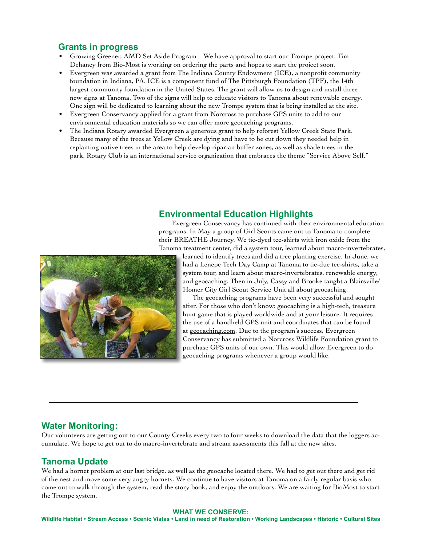### **Grants in progress**

- Growing Greener, AMD Set Aside Program We have approval to start our Trompe project. Tim Dehaney from Bio-Most is working on ordering the parts and hopes to start the project soon.
- Evergreen was awarded a grant from The Indiana County Endowment (ICE), a nonprofit community foundation in Indiana, PA. ICE is a component fund of The Pittsburgh Foundation (TPF), the 14th largest community foundation in the United States. The grant will allow us to design and install three new signs at Tanoma. Two of the signs will help to educate visitors to Tanoma about renewable energy. One sign will be dedicated to learning about the new Trompe system that is being installed at the site.
- Evergreen Conservancy applied for a grant from Norcross to purchase GPS units to add to our environmental education materials so we can offer more geocaching programs.
- The Indiana Rotary awarded Evergreen a generous grant to help reforest Yellow Creek State Park. Because many of the trees at Yellow Creek are dying and have to be cut down they needed help in replanting native trees in the area to help develop riparian buffer zones, as well as shade trees in the park. Rotary Club is an international service organization that embraces the theme "Service Above Self."



#### **Environmental Education Highlights**

Evergreen Conservancy has continued with their environmental education programs. In May a group of Girl Scouts came out to Tanoma to complete their BREATHE Journey. We tie-dyed tee-shirts with iron oxide from the Tanoma treatment center, did a system tour, learned about macro-invertebrates,

learned to identify trees and did a tree planting exercise. In June, we had a Lenepe Tech Day Camp at Tanoma to tie-due tee-shirts, take a system tour, and learn about macro-invertebrates, renewable energy, and geocaching. Then in July, Cassy and Brooke taught a Blairsville/ Homer City Girl Scout Service Unit all about geocaching.

The geocaching programs have been very successful and sought after. For those who don't know: geocaching is a high-tech, treasure hunt game that is played worldwide and at your leisure. It requires the use of a handheld GPS unit and coordinates that can be found at geocaching.com. Due to the program's success, Evergreen Conservancy has submitted a Norcross Wildlife Foundation grant to purchase GPS units of our own. This would allow Evergreen to do geocaching programs whenever a group would like.

### **Water Monitoring:**

Our volunteers are getting out to our County Creeks every two to four weeks to download the data that the loggers accumulate. We hope to get out to do macro-invertebrate and stream assessments this fall at the new sites.

#### **Tanoma Update**

We had a hornet problem at our last bridge, as well as the geocache located there. We had to get out there and get rid of the nest and move some very angry hornets. We continue to have visitors at Tanoma on a fairly regular basis who come out to walk through the system, read the story book, and enjoy the outdoors. We are waiting for BioMost to start the Trompe system.

#### **WHAT WE CONSERVE:**

**Wildlife Habitat • Stream Access • Scenic Vistas • Land in need of Restoration • Working Landscapes • Historic • Cultural Sites**